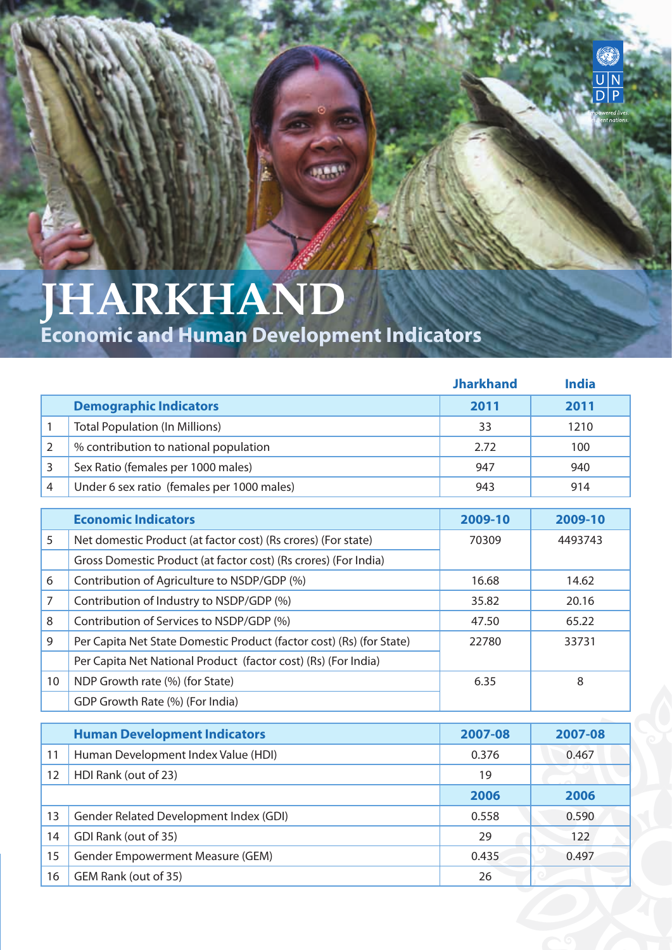## **JHARKHAND**

**Economic and Human Development Indicators** 

|                |                                                                      | <b>Jharkhand</b> | <b>India</b> |
|----------------|----------------------------------------------------------------------|------------------|--------------|
|                | <b>Demographic Indicators</b>                                        | 2011             | 2011         |
| 1              | <b>Total Population (In Millions)</b>                                | 33               | 1210         |
| $\overline{2}$ | % contribution to national population                                | 2.72             | 100          |
| 3              | Sex Ratio (females per 1000 males)                                   | 947              | 940          |
| $\overline{4}$ | Under 6 sex ratio (females per 1000 males)                           | 943              | 914          |
|                | <b>Economic Indicators</b>                                           | 2009-10          | 2009-10      |
| 5              | Net domestic Product (at factor cost) (Rs crores) (For state)        | 70309            | 4493743      |
|                | Gross Domestic Product (at factor cost) (Rs crores) (For India)      |                  |              |
| 6              | Contribution of Agriculture to NSDP/GDP (%)                          | 16.68            | 14.62        |
| 7              | Contribution of Industry to NSDP/GDP (%)                             | 35.82            | 20.16        |
| 8              | Contribution of Services to NSDP/GDP (%)                             | 47.50            | 65.22        |
| 9              | Per Capita Net State Domestic Product (factor cost) (Rs) (for State) | 22780            | 33731        |
|                | Per Capita Net National Product (factor cost) (Rs) (For India)       |                  |              |
| 10             | NDP Growth rate (%) (for State)                                      | 6.35             | 8            |
|                | GDP Growth Rate (%) (For India)                                      |                  |              |
|                | <b>Human Development Indicators</b>                                  | 2007-08          | 2007-08      |
|                |                                                                      |                  |              |
| 11             | Human Development Index Value (HDI)                                  | 0.376            | 0.467        |
| 12             | HDI Rank (out of 23)                                                 | 19               |              |
|                |                                                                      | 2006             | 2006         |
| 13             | Gender Related Development Index (GDI)                               | 0.558            | 0.590        |
| 14             | GDI Rank (out of 35)                                                 | 29               | 122          |
| 15             | <b>Gender Empowerment Measure (GEM)</b>                              | 0.435            | 0.497        |
| 16             | GEM Rank (out of 35)                                                 | 26               |              |